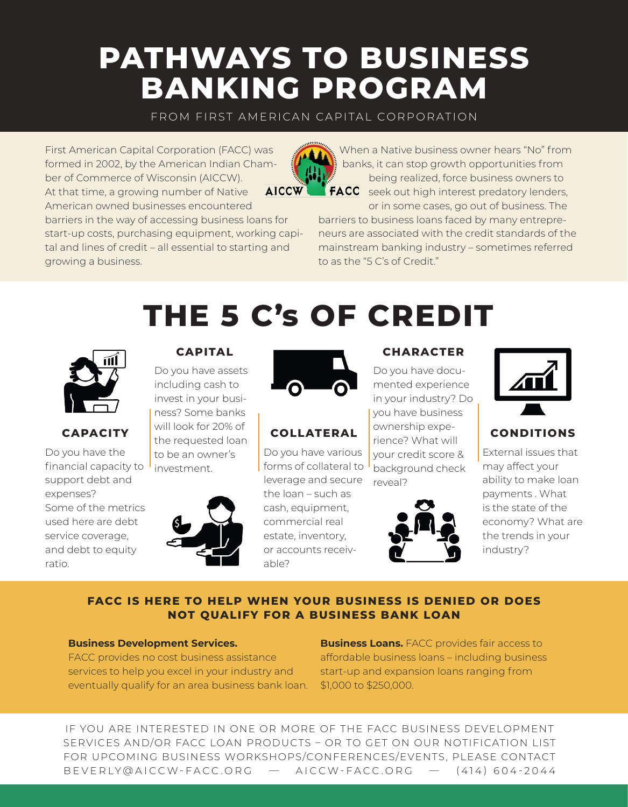# **PATHWAYS TO BUSINESS BANKING PROGRAM**

FROM FIRST AMERICAN CAPITAL CORPORATION

First American Capital Corporation (FACC) was formed in 2002, by the American Indian Chamber of Commerce of Wisconsin (AICCW). **AICCW** At that time, a growing number of Native American owned businesses encountered barriers in the way of accessing business loans for start-up costs, purchasing equipment, working capital and lines of credit – all essential to starting and

When a Native business owner hears "No" from banks, it can stop growth opportunities from being realized, force business owners to



FACC seek out high interest predatory lenders, or in some cases, go out of business. The

barriers to business loans faced by many entrepreneurs are associated with the credit standards of the mainstream banking industry – sometimes referred to as the "5 C's of Credit."



growing a business.

#### **CAPACITY**

Do you have the financial capacity to  $\mathsf{I}$ support debt and expenses? Some of the metrics used here are debt service coverage, and debt to equity ratio.



**CAPITAL**

Do you have assets including cash to invest in your business? Some banks will look for 20% of the requested loan



**THE 5 C's OF CREDIT**

## **COLLATERAL**

Do you have various forms of collateral to leverage and secure the loan – such as cash, equipment, commercial real estate, inventory, or accounts receivable?

#### **CHARACTER**

Do you have documented experience in your industry? Do you have business ownership experience? What will your credit score & background check reveal?





### **CONDITIONS**

External issues that may affect your ability to make loan payments . What is the state of the economy? What are the trends in your industry?

#### **FACC IS HERE TO HELP WHEN YOUR BUSINESS IS DENIED OR DOES NOT QUALIFY FOR A BUSINESS BANK LOAN**

#### **Business Development Services.**

FACC provides no cost business assistance services to help you excel in your industry and eventually qualify for an area business bank loan. **Business Loans.** FACC provides fair access to affordable business loans – including business start-up and expansion loans ranging from \$1,000 to \$250,000.

IF YOU ARE INTERESTED IN ONE OR MORE OF THE FACC BUSINESS DEVELOPMENT SERVICES AND/OR FACC LOAN PRODUCTS – OR TO GET ON OUR NOTIFICATION LIST FOR UPCOMING BUSINESS WORKSHOPS/CONFERENCES/EVENTS, PLEASE CONTACT BEVERLY@AICCW-FACC.ORG — AICCW-FACC.ORG — (414) 604-2044